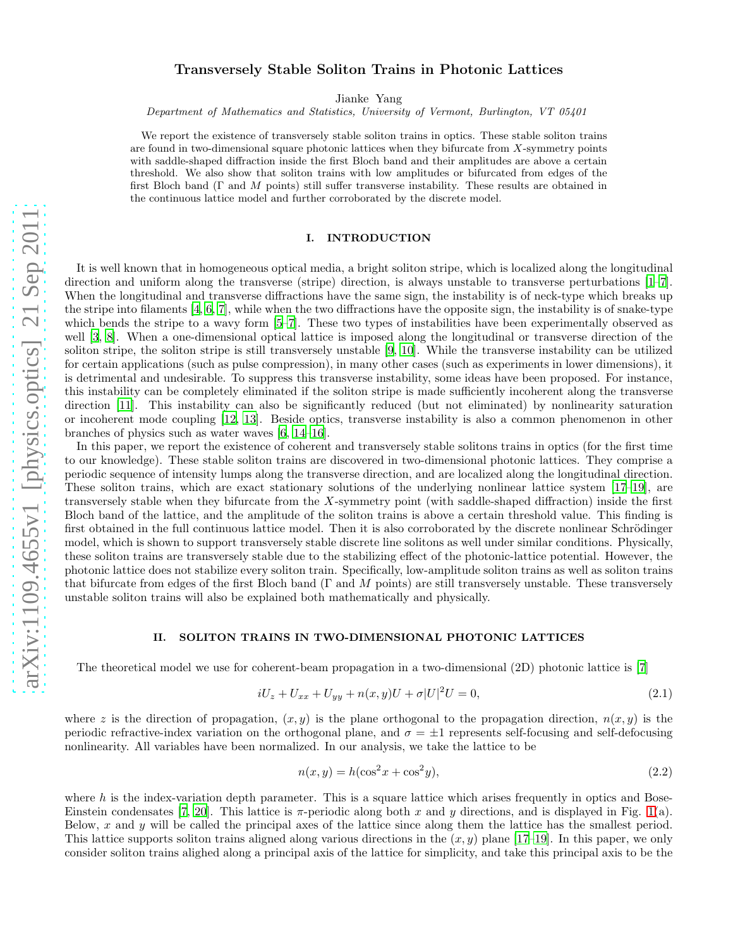# Transversely Stable Soliton Trains in Photonic Lattices

Jianke Yang

Department of Mathematics and Statistics, University of Vermont, Burlington, VT 05401

We report the existence of transversely stable soliton trains in optics. These stable soliton trains are found in two-dimensional square photonic lattices when they bifurcate from X-symmetry points with saddle-shaped diffraction inside the first Bloch band and their amplitudes are above a certain threshold. We also show that soliton trains with low amplitudes or bifurcated from edges of the first Bloch band (Γ and M points) still suffer transverse instability. These results are obtained in the continuous lattice model and further corroborated by the discrete model.

## I. INTRODUCTION

It is well known that in homogeneous optical media, a bright soliton stripe, which is localized along the longitudinal direction and uniform along the transverse (stripe) direction, is always unstable to transverse perturbations [\[1](#page-9-0)[–7\]](#page-9-1). When the longitudinal and transverse diffractions have the same sign, the instability is of neck-type which breaks up the stripe into filaments [\[4,](#page-9-2) [6](#page-9-3), [7\]](#page-9-1), while when the two diffractions have the opposite sign, the instability is of snake-type which bends the stripe to a wavy form  $[5–7]$  $[5–7]$ . These two types of instabilities have been experimentally observed as well [\[3,](#page-9-5) [8](#page-9-6)]. When a one-dimensional optical lattice is imposed along the longitudinal or transverse direction of the soliton stripe, the soliton stripe is still transversely unstable [\[9](#page-9-7), [10](#page-9-8)]. While the transverse instability can be utilized for certain applications (such as pulse compression), in many other cases (such as experiments in lower dimensions), it is detrimental and undesirable. To suppress this transverse instability, some ideas have been proposed. For instance, this instability can be completely eliminated if the soliton stripe is made sufficiently incoherent along the transverse direction [\[11\]](#page-9-9). This instability can also be significantly reduced (but not eliminated) by nonlinearity saturation or incoherent mode coupling [\[12](#page-9-10), [13\]](#page-9-11). Beside optics, transverse instability is also a common phenomenon in other branches of physics such as water waves [\[6](#page-9-3), [14](#page-9-12)[–16](#page-9-13)].

In this paper, we report the existence of coherent and transversely stable solitons trains in optics (for the first time to our knowledge). These stable soliton trains are discovered in two-dimensional photonic lattices. They comprise a periodic sequence of intensity lumps along the transverse direction, and are localized along the longitudinal direction. These soliton trains, which are exact stationary solutions of the underlying nonlinear lattice system [\[17](#page-9-14)[–19](#page-9-15)], are transversely stable when they bifurcate from the X-symmetry point (with saddle-shaped diffraction) inside the first Bloch band of the lattice, and the amplitude of the soliton trains is above a certain threshold value. This finding is first obtained in the full continuous lattice model. Then it is also corroborated by the discrete nonlinear Schrödinger model, which is shown to support transversely stable discrete line solitons as well under similar conditions. Physically, these soliton trains are transversely stable due to the stabilizing effect of the photonic-lattice potential. However, the photonic lattice does not stabilize every soliton train. Specifically, low-amplitude soliton trains as well as soliton trains that bifurcate from edges of the first Bloch band ( $\Gamma$  and  $M$  points) are still transversely unstable. These transversely unstable soliton trains will also be explained both mathematically and physically.

#### II. SOLITON TRAINS IN TWO-DIMENSIONAL PHOTONIC LATTICES

The theoretical model we use for coherent-beam propagation in a two-dimensional (2D) photonic lattice is [\[7](#page-9-1)]

<span id="page-0-1"></span>
$$
iU_z + U_{xx} + U_{yy} + n(x, y)U + \sigma |U|^2 U = 0,
$$
\n(2.1)

where z is the direction of propagation,  $(x, y)$  is the plane orthogonal to the propagation direction,  $n(x, y)$  is the periodic refractive-index variation on the orthogonal plane, and  $\sigma = \pm 1$  represents self-focusing and self-defocusing nonlinearity. All variables have been normalized. In our analysis, we take the lattice to be

<span id="page-0-0"></span>
$$
n(x, y) = h(\cos^2 x + \cos^2 y),\tag{2.2}
$$

where  $h$  is the index-variation depth parameter. This is a square lattice which arises frequently in optics and Bose-Einstein condensates [\[7](#page-9-1), [20\]](#page-9-16). This lattice is  $\pi$ -periodic along both x and y directions, and is displayed in Fig. [1\(](#page-1-0)a). Below, x and y will be called the principal axes of the lattice since along them the lattice has the smallest period. This lattice supports soliton trains aligned along various directions in the  $(x, y)$  plane [\[17](#page-9-14)[–19\]](#page-9-15). In this paper, we only consider soliton trains alighed along a principal axis of the lattice for simplicity, and take this principal axis to be the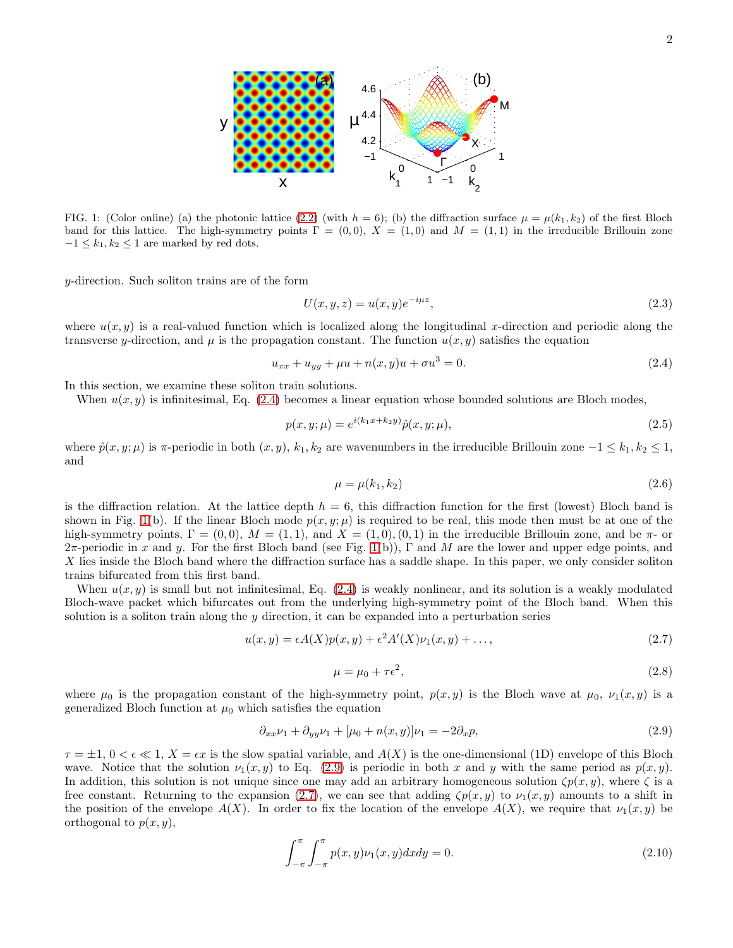x −1  $\Omega$ 1 −1  $\Omega$ 1 k 2 Γ  $k_{1}^{\prime}$ FIG. 1: (Color online) (a) the photonic lattice [\(2.2\)](#page-0-0) (with  $h = 6$ ); (b) the diffraction surface  $\mu = \mu(k_1, k_2)$  of the first Bloch band for this lattice. The high-symmetry points  $\Gamma = (0, 0), X = (1, 0)$  and  $M = (1, 1)$  in the irreducible Brillouin zone

y-direction. Such soliton trains are of the form

<span id="page-1-0"></span> $-1 \leq k_1, k_2 \leq 1$  are marked by red dots.

$$
U(x, y, z) = u(x, y)e^{-i\mu z},\tag{2.3}
$$

where  $u(x, y)$  is a real-valued function which is localized along the longitudinal x-direction and periodic along the transverse y-direction, and  $\mu$  is the propagation constant. The function  $u(x, y)$  satisfies the equation

<span id="page-1-1"></span>
$$
u_{xx} + u_{yy} + \mu u + n(x, y)u + \sigma u^3 = 0.
$$
\n(2.4)

In this section, we examine these soliton train solutions.

y

When  $u(x, y)$  is infinitesimal, Eq. [\(2.4\)](#page-1-1) becomes a linear equation whose bounded solutions are Bloch modes,

$$
p(x, y; \mu) = e^{i(k_1 x + k_2 y)} \hat{p}(x, y; \mu), \tag{2.5}
$$

where  $\hat{p}(x, y; \mu)$  is  $\pi$ -periodic in both  $(x, y)$ ,  $k_1, k_2$  are wavenumbers in the irreducible Brillouin zone  $-1 \leq k_1, k_2 \leq 1$ , and

$$
\mu = \mu(k_1, k_2) \tag{2.6}
$$

is the diffraction relation. At the lattice depth  $h = 6$ , this diffraction function for the first (lowest) Bloch band is shown in Fig. [1\(](#page-1-0)b). If the linear Bloch mode  $p(x, y; \mu)$  is required to be real, this mode then must be at one of the high-symmetry points,  $\Gamma = (0, 0)$ ,  $M = (1, 1)$ , and  $X = (1, 0)$ ,  $(0, 1)$  in the irreducible Brillouin zone, and be  $\pi$ - or  $2\pi$ -periodic in x and y. For the first Bloch band (see Fig. [1\(](#page-1-0)b)), Γ and M are the lower and upper edge points, and X lies inside the Bloch band where the diffraction surface has a saddle shape. In this paper, we only consider soliton trains bifurcated from this first band.

When  $u(x, y)$  is small but not infinitesimal, Eq. [\(2.4\)](#page-1-1) is weakly nonlinear, and its solution is a weakly modulated Bloch-wave packet which bifurcates out from the underlying high-symmetry point of the Bloch band. When this solution is a soliton train along the  $y$  direction, it can be expanded into a perturbation series

<span id="page-1-3"></span>
$$
u(x,y) = \epsilon A(X)p(x,y) + \epsilon^2 A'(X)\nu_1(x,y) + \dots,
$$
\n(2.7)

$$
\mu = \mu_0 + \tau \epsilon^2,\tag{2.8}
$$

where  $\mu_0$  is the propagation constant of the high-symmetry point,  $p(x, y)$  is the Bloch wave at  $\mu_0$ ,  $\nu_1(x, y)$  is a generalized Bloch function at  $\mu_0$  which satisfies the equation

<span id="page-1-2"></span>
$$
\partial_{xx}\nu_1 + \partial_{yy}\nu_1 + [\mu_0 + n(x, y)]\nu_1 = -2\partial_x p,\tag{2.9}
$$

 $\tau = \pm 1$ ,  $0 < \epsilon \ll 1$ ,  $X = \epsilon x$  is the slow spatial variable, and  $A(X)$  is the one-dimensional (1D) envelope of this Bloch wave. Notice that the solution  $\nu_1(x, y)$  to Eq. [\(2.9\)](#page-1-2) is periodic in both x and y with the same period as  $p(x, y)$ . In addition, this solution is not unique since one may add an arbitrary homogeneous solution  $\zeta p(x, y)$ , where  $\zeta$  is a free constant. Returning to the expansion [\(2.7\)](#page-1-3), we can see that adding  $\zeta p(x, y)$  to  $\nu_1(x, y)$  amounts to a shift in the position of the envelope  $A(X)$ . In order to fix the location of the envelope  $A(X)$ , we require that  $\nu_1(x, y)$  be orthogonal to  $p(x, y)$ ,

$$
\int_{-\pi}^{\pi} \int_{-\pi}^{\pi} p(x, y)\nu_1(x, y)dxdy = 0.
$$
\n(2.10)

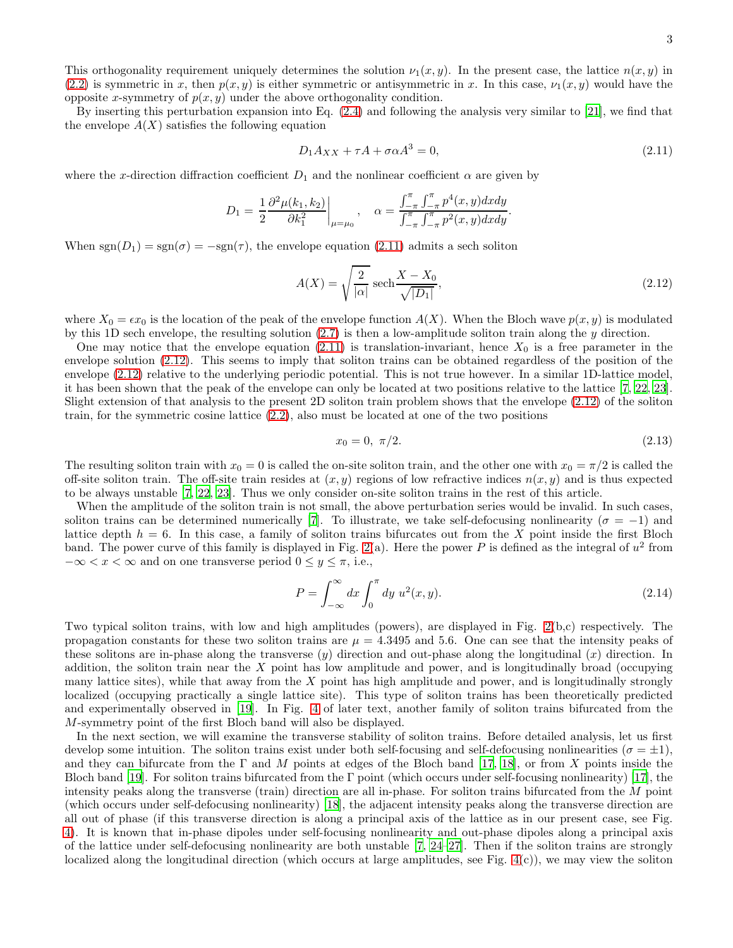This orthogonality requirement uniquely determines the solution  $\nu_1(x, y)$ . In the present case, the lattice  $n(x, y)$  in [\(2.2\)](#page-0-0) is symmetric in x, then  $p(x, y)$  is either symmetric or antisymmetric in x. In this case,  $\nu_1(x, y)$  would have the opposite x-symmetry of  $p(x, y)$  under the above orthogonality condition.

By inserting this perturbation expansion into Eq. [\(2.4\)](#page-1-1) and following the analysis very similar to [\[21\]](#page-9-17), we find that the envelope  $A(X)$  satisfies the following equation

<span id="page-2-0"></span>
$$
D_1 A_{XX} + \tau A + \sigma \alpha A^3 = 0,\tag{2.11}
$$

where the x-direction diffraction coefficient  $D_1$  and the nonlinear coefficient  $\alpha$  are given by

$$
D_1 = \left.\frac{1}{2}\frac{\partial^2 \mu(k_1,k_2)}{\partial k_1^2}\right|_{\mu=\mu_0}, \quad \alpha = \frac{\int_{-\pi}^\pi\int_{-\pi}^\pi p^4(x,y)dxdy}{\int_{-\pi}^\pi\int_{-\pi}^\pi p^2(x,y)dxdy}.
$$

When  $sgn(D_1) = sgn(\sigma) = -sgn(\tau)$ , the envelope equation [\(2.11\)](#page-2-0) admits a sech soliton

<span id="page-2-1"></span>
$$
A(X) = \sqrt{\frac{2}{|\alpha|}} \operatorname{sech} \frac{X - X_0}{\sqrt{|D_1|}},
$$
\n(2.12)

where  $X_0 = \epsilon x_0$  is the location of the peak of the envelope function  $A(X)$ . When the Bloch wave  $p(x, y)$  is modulated by this 1D sech envelope, the resulting solution  $(2.7)$  is then a low-amplitude soliton train along the y direction.

One may notice that the envelope equation [\(2.11\)](#page-2-0) is translation-invariant, hence  $X_0$  is a free parameter in the envelope solution [\(2.12\)](#page-2-1). This seems to imply that soliton trains can be obtained regardless of the position of the envelope [\(2.12\)](#page-2-1) relative to the underlying periodic potential. This is not true however. In a similar 1D-lattice model, it has been shown that the peak of the envelope can only be located at two positions relative to the lattice [\[7,](#page-9-1) [22,](#page-9-18) [23\]](#page-9-19). Slight extension of that analysis to the present 2D soliton train problem shows that the envelope [\(2.12\)](#page-2-1) of the soliton train, for the symmetric cosine lattice [\(2.2\)](#page-0-0), also must be located at one of the two positions

$$
x_0 = 0, \ \pi/2. \tag{2.13}
$$

The resulting soliton train with  $x_0 = 0$  is called the on-site soliton train, and the other one with  $x_0 = \pi/2$  is called the off-site soliton train. The off-site train resides at  $(x, y)$  regions of low refractive indices  $n(x, y)$  and is thus expected to be always unstable [\[7](#page-9-1), [22](#page-9-18), [23\]](#page-9-19). Thus we only consider on-site soliton trains in the rest of this article.

When the amplitude of the soliton train is not small, the above perturbation series would be invalid. In such cases, soliton trains can be determined numerically [\[7\]](#page-9-1). To illustrate, we take self-defocusing nonlinearity ( $\sigma = -1$ ) and lattice depth  $h = 6$ . In this case, a family of soliton trains bifurcates out from the X point inside the first Bloch band. The power curve of this family is displayed in Fig. [2\(](#page-3-0)a). Here the power P is defined as the integral of  $u^2$  from  $-\infty < x < \infty$  and on one transverse period  $0 \leq y \leq \pi$ , i.e.,

$$
P = \int_{-\infty}^{\infty} dx \int_{0}^{\pi} dy u^{2}(x, y).
$$
 (2.14)

Two typical soliton trains, with low and high amplitudes (powers), are displayed in Fig. [2\(](#page-3-0)b,c) respectively. The propagation constants for these two soliton trains are  $\mu = 4.3495$  and 5.6. One can see that the intensity peaks of these solitons are in-phase along the transverse  $(y)$  direction and out-phase along the longitudinal  $(x)$  direction. In addition, the soliton train near the  $X$  point has low amplitude and power, and is longitudinally broad (occupying many lattice sites), while that away from the  $X$  point has high amplitude and power, and is longitudinally strongly localized (occupying practically a single lattice site). This type of soliton trains has been theoretically predicted and experimentally observed in [\[19](#page-9-15)]. In Fig. [4](#page-6-0) of later text, another family of soliton trains bifurcated from the M-symmetry point of the first Bloch band will also be displayed.

In the next section, we will examine the transverse stability of soliton trains. Before detailed analysis, let us first develop some intuition. The soliton trains exist under both self-focusing and self-defocusing nonlinearities ( $\sigma = \pm 1$ ), and they can bifurcate from the  $\Gamma$  and M points at edges of the Bloch band [\[17,](#page-9-14) [18](#page-9-20)], or from X points inside the Bloch band [\[19](#page-9-15)]. For soliton trains bifurcated from the  $\Gamma$  point (which occurs under self-focusing nonlinearity) [\[17\]](#page-9-14), the intensity peaks along the transverse (train) direction are all in-phase. For soliton trains bifurcated from the M point (which occurs under self-defocusing nonlinearity) [\[18](#page-9-20)], the adjacent intensity peaks along the transverse direction are all out of phase (if this transverse direction is along a principal axis of the lattice as in our present case, see Fig. [4\)](#page-6-0). It is known that in-phase dipoles under self-focusing nonlinearity and out-phase dipoles along a principal axis of the lattice under self-defocusing nonlinearity are both unstable [\[7,](#page-9-1) [24](#page-9-21)[–27\]](#page-9-22). Then if the soliton trains are strongly localized along the longitudinal direction (which occurs at large amplitudes, see Fig. [4\(](#page-6-0)c)), we may view the soliton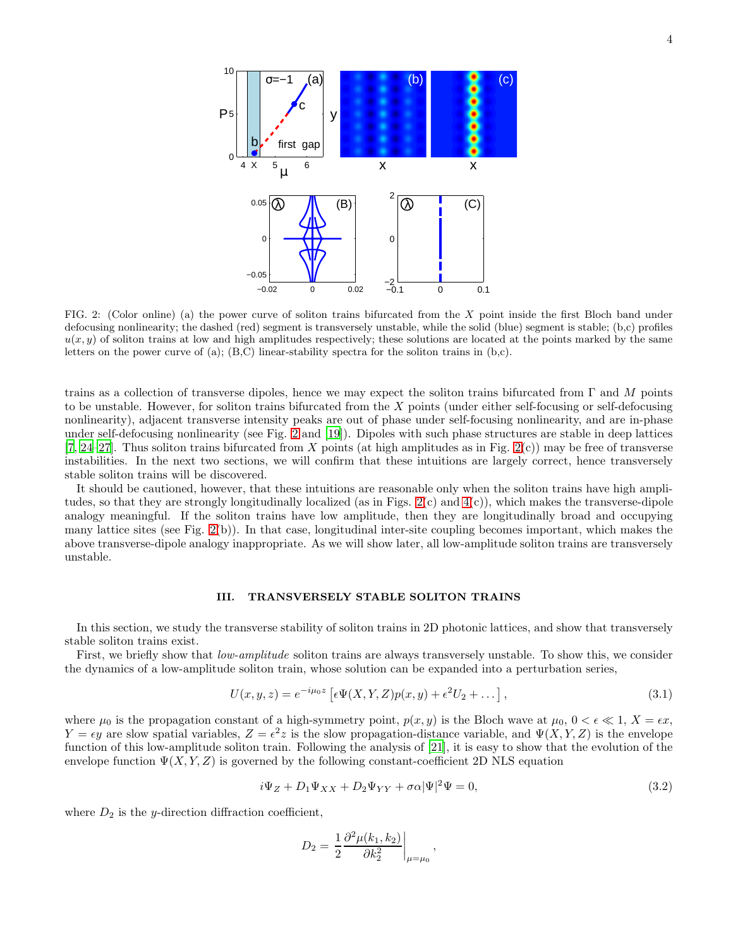

<span id="page-3-0"></span>FIG. 2: (Color online) (a) the power curve of soliton trains bifurcated from the  $X$  point inside the first Bloch band under defocusing nonlinearity; the dashed (red) segment is transversely unstable, while the solid (blue) segment is stable; (b,c) profiles  $u(x, y)$  of soliton trains at low and high amplitudes respectively; these solutions are located at the points marked by the same letters on the power curve of (a);  $(B,C)$  linear-stability spectra for the soliton trains in  $(b,c)$ .

trains as a collection of transverse dipoles, hence we may expect the soliton trains bifurcated from  $\Gamma$  and M points to be unstable. However, for soliton trains bifurcated from the X points (under either self-focusing or self-defocusing nonlinearity), adjacent transverse intensity peaks are out of phase under self-focusing nonlinearity, and are in-phase under self-defocusing nonlinearity (see Fig. [2](#page-3-0) and [\[19](#page-9-15)]). Dipoles with such phase structures are stable in deep lattices  $[7, 24-27]$  $[7, 24-27]$  $[7, 24-27]$ . Thus soliton trains bifurcated from X points (at high amplitudes as in Fig. [2\(](#page-3-0)c)) may be free of transverse instabilities. In the next two sections, we will confirm that these intuitions are largely correct, hence transversely stable soliton trains will be discovered.

It should be cautioned, however, that these intuitions are reasonable only when the soliton trains have high amplitudes, so that they are strongly longitudinally localized (as in Figs.  $2(c)$  and  $4(c)$ ), which makes the transverse-dipole analogy meaningful. If the soliton trains have low amplitude, then they are longitudinally broad and occupying many lattice sites (see Fig.  $2(b)$ ). In that case, longitudinal inter-site coupling becomes important, which makes the above transverse-dipole analogy inappropriate. As we will show later, all low-amplitude soliton trains are transversely unstable.

### III. TRANSVERSELY STABLE SOLITON TRAINS

In this section, we study the transverse stability of soliton trains in 2D photonic lattices, and show that transversely stable soliton trains exist.

First, we briefly show that *low-amplitude* soliton trains are always transversely unstable. To show this, we consider the dynamics of a low-amplitude soliton train, whose solution can be expanded into a perturbation series,

$$
U(x, y, z) = e^{-i\mu_0 z} \left[ \epsilon \Psi(X, Y, Z) p(x, y) + \epsilon^2 U_2 + \dots \right],
$$
\n(3.1)

where  $\mu_0$  is the propagation constant of a high-symmetry point,  $p(x, y)$  is the Bloch wave at  $\mu_0$ ,  $0 < \epsilon \ll 1$ ,  $X = \epsilon x$ ,  $Y = \epsilon y$  are slow spatial variables,  $Z = \epsilon^2 z$  is the slow propagation-distance variable, and  $\Psi(X, Y, Z)$  is the envelope function of this low-amplitude soliton train. Following the analysis of [\[21](#page-9-17)], it is easy to show that the evolution of the envelope function  $\Psi(X, Y, Z)$  is governed by the following constant-coefficient 2D NLS equation

<span id="page-3-1"></span>
$$
i\Psi_Z + D_1\Psi_{XX} + D_2\Psi_{YY} + \sigma\alpha|\Psi|^2\Psi = 0,
$$
\n(3.2)

where  $D_2$  is the y-direction diffraction coefficient,

$$
D_2 = \frac{1}{2} \frac{\partial^2 \mu(k_1, k_2)}{\partial k_2^2} \bigg|_{\mu = \mu_0},
$$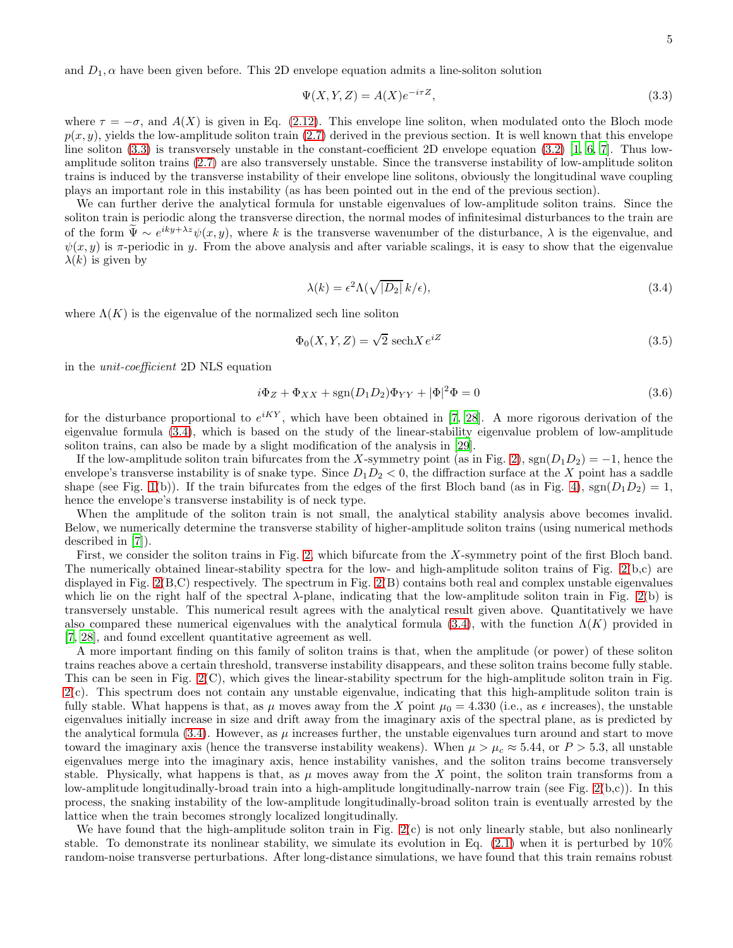and  $D_1, \alpha$  have been given before. This 2D envelope equation admits a line-soliton solution

<span id="page-4-0"></span>
$$
\Psi(X, Y, Z) = A(X)e^{-i\tau Z},\tag{3.3}
$$

where  $\tau = -\sigma$ , and  $A(X)$  is given in Eq. [\(2.12\)](#page-2-1). This envelope line soliton, when modulated onto the Bloch mode  $p(x, y)$ , yields the low-amplitude soliton train [\(2.7\)](#page-1-3) derived in the previous section. It is well known that this envelope line soliton [\(3.3\)](#page-4-0) is transversely unstable in the constant-coefficient 2D envelope equation [\(3.2\)](#page-3-1) [\[1,](#page-9-0) [6,](#page-9-3) [7\]](#page-9-1). Thus lowamplitude soliton trains [\(2.7\)](#page-1-3) are also transversely unstable. Since the transverse instability of low-amplitude soliton trains is induced by the transverse instability of their envelope line solitons, obviously the longitudinal wave coupling plays an important role in this instability (as has been pointed out in the end of the previous section).

We can further derive the analytical formula for unstable eigenvalues of low-amplitude soliton trains. Since the soliton train is periodic along the transverse direction, the normal modes of infinitesimal disturbances to the train are of the form  $\tilde{\Psi} \sim e^{iky+\lambda z}\psi(x, y)$ , where k is the transverse wavenumber of the disturbance,  $\lambda$  is the eigenvalue, and  $\psi(x, y)$  is  $\pi$ -periodic in y. From the above analysis and after variable scalings, it is easy to show that the eigenvalue  $\lambda(k)$  is given by

<span id="page-4-1"></span>
$$
\lambda(k) = \epsilon^2 \Lambda(\sqrt{|D_2|} \, k/\epsilon),\tag{3.4}
$$

where  $\Lambda(K)$  is the eigenvalue of the normalized sech line soliton

$$
\Phi_0(X, Y, Z) = \sqrt{2} \operatorname{sech} X e^{iZ} \tag{3.5}
$$

in the unit-coefficient 2D NLS equation

$$
i\Phi_Z + \Phi_{XX} + \text{sgn}(D_1 D_2)\Phi_{YY} + |\Phi|^2 \Phi = 0
$$
\n(3.6)

for the disturbance proportional to  $e^{iKY}$ , which have been obtained in [\[7](#page-9-1), [28](#page-9-23)]. A more rigorous derivation of the eigenvalue formula [\(3.4\)](#page-4-1), which is based on the study of the linear-stability eigenvalue problem of low-amplitude soliton trains, can also be made by a slight modification of the analysis in [\[29](#page-9-24)].

If the low-amplitude soliton train bifurcates from the X-symmetry point (as in Fig. [2\)](#page-3-0), sgn $(D_1D_2) = -1$ , hence the envelope's transverse instability is of snake type. Since  $D_1D_2 < 0$ , the diffraction surface at the X point has a saddle shape (see Fig. [1\(](#page-1-0)b)). If the train bifurcates from the edges of the first Bloch band (as in Fig. [4\)](#page-6-0),  $sgn(D_1D_2) = 1$ , hence the envelope's transverse instability is of neck type.

When the amplitude of the soliton train is not small, the analytical stability analysis above becomes invalid. Below, we numerically determine the transverse stability of higher-amplitude soliton trains (using numerical methods described in [\[7](#page-9-1)]).

First, we consider the soliton trains in Fig. [2,](#page-3-0) which bifurcate from the X-symmetry point of the first Bloch band. The numerically obtained linear-stability spectra for the low- and high-amplitude soliton trains of Fig. [2\(](#page-3-0)b,c) are displayed in Fig. [2\(](#page-3-0)B,C) respectively. The spectrum in Fig. [2\(](#page-3-0)B) contains both real and complex unstable eigenvalues which lie on the right half of the spectral  $\lambda$ -plane, indicating that the low-amplitude soliton train in Fig. [2\(](#page-3-0)b) is transversely unstable. This numerical result agrees with the analytical result given above. Quantitatively we have also compared these numerical eigenvalues with the analytical formula [\(3.4\)](#page-4-1), with the function  $\Lambda(K)$  provided in [\[7,](#page-9-1) [28\]](#page-9-23), and found excellent quantitative agreement as well.

A more important finding on this family of soliton trains is that, when the amplitude (or power) of these soliton trains reaches above a certain threshold, transverse instability disappears, and these soliton trains become fully stable. This can be seen in Fig. [2\(](#page-3-0)C), which gives the linear-stability spectrum for the high-amplitude soliton train in Fig. [2\(](#page-3-0)c). This spectrum does not contain any unstable eigenvalue, indicating that this high-amplitude soliton train is fully stable. What happens is that, as  $\mu$  moves away from the X point  $\mu_0 = 4.330$  (i.e., as  $\epsilon$  increases), the unstable eigenvalues initially increase in size and drift away from the imaginary axis of the spectral plane, as is predicted by the analytical formula  $(3.4)$ . However, as  $\mu$  increases further, the unstable eigenvalues turn around and start to move toward the imaginary axis (hence the transverse instability weakens). When  $\mu > \mu_c \approx 5.44$ , or  $P > 5.3$ , all unstable eigenvalues merge into the imaginary axis, hence instability vanishes, and the soliton trains become transversely stable. Physically, what happens is that, as  $\mu$  moves away from the X point, the soliton train transforms from a low-amplitude longitudinally-broad train into a high-amplitude longitudinally-narrow train (see Fig. [2\(](#page-3-0)b,c)). In this process, the snaking instability of the low-amplitude longitudinally-broad soliton train is eventually arrested by the lattice when the train becomes strongly localized longitudinally.

We have found that the high-amplitude soliton train in Fig. [2\(](#page-3-0)c) is not only linearly stable, but also nonlinearly stable. To demonstrate its nonlinear stability, we simulate its evolution in Eq. [\(2.1\)](#page-0-1) when it is perturbed by 10% random-noise transverse perturbations. After long-distance simulations, we have found that this train remains robust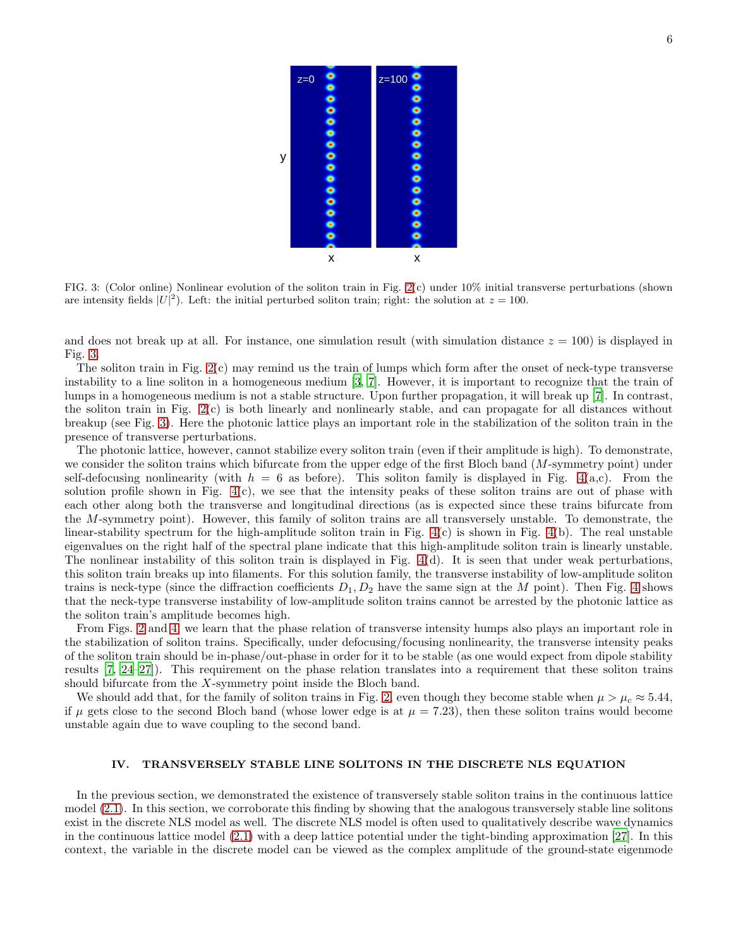

<span id="page-5-0"></span>FIG. 3: (Color online) Nonlinear evolution of the soliton train in Fig. [2\(](#page-3-0)c) under 10% initial transverse perturbations (shown are intensity fields  $|U|^2$ ). Left: the initial perturbed soliton train; right: the solution at  $z = 100$ .

and does not break up at all. For instance, one simulation result (with simulation distance  $z = 100$ ) is displayed in Fig. [3.](#page-5-0)

The soliton train in Fig.  $2(c)$  may remind us the train of lumps which form after the onset of neck-type transverse instability to a line soliton in a homogeneous medium [\[3,](#page-9-5) [7\]](#page-9-1). However, it is important to recognize that the train of lumps in a homogeneous medium is not a stable structure. Upon further propagation, it will break up [\[7](#page-9-1)]. In contrast, the soliton train in Fig. [2\(](#page-3-0)c) is both linearly and nonlinearly stable, and can propagate for all distances without breakup (see Fig. [3\)](#page-5-0). Here the photonic lattice plays an important role in the stabilization of the soliton train in the presence of transverse perturbations.

The photonic lattice, however, cannot stabilize every soliton train (even if their amplitude is high). To demonstrate, we consider the soliton trains which bifurcate from the upper edge of the first Bloch band  $(M$ -symmetry point) under self-defocusing nonlinearity (with  $h = 6$  as before). This soliton family is displayed in Fig. [4\(](#page-6-0)a,c). From the solution profile shown in Fig.  $4(c)$ , we see that the intensity peaks of these soliton trains are out of phase with each other along both the transverse and longitudinal directions (as is expected since these trains bifurcate from the M-symmetry point). However, this family of soliton trains are all transversely unstable. To demonstrate, the linear-stability spectrum for the high-amplitude soliton train in Fig.  $4(c)$  is shown in Fig.  $4(b)$ . The real unstable eigenvalues on the right half of the spectral plane indicate that this high-amplitude soliton train is linearly unstable. The nonlinear instability of this soliton train is displayed in Fig. [4\(](#page-6-0)d). It is seen that under weak perturbations, this soliton train breaks up into filaments. For this solution family, the transverse instability of low-amplitude soliton trains is neck-type (since the diffraction coefficients  $D_1, D_2$  have the same sign at the M point). Then Fig. [4](#page-6-0) shows that the neck-type transverse instability of low-amplitude soliton trains cannot be arrested by the photonic lattice as the soliton train's amplitude becomes high.

From Figs. [2](#page-3-0) and [4,](#page-6-0) we learn that the phase relation of transverse intensity humps also plays an important role in the stabilization of soliton trains. Specifically, under defocusing/focusing nonlinearity, the transverse intensity peaks of the soliton train should be in-phase/out-phase in order for it to be stable (as one would expect from dipole stability results [\[7](#page-9-1), [24](#page-9-21)[–27](#page-9-22)]). This requirement on the phase relation translates into a requirement that these soliton trains should bifurcate from the  $X$ -symmetry point inside the Bloch band.

We should add that, for the family of soliton trains in Fig. [2,](#page-3-0) even though they become stable when  $\mu > \mu_c \approx 5.44$ , if  $\mu$  gets close to the second Bloch band (whose lower edge is at  $\mu = 7.23$ ), then these soliton trains would become unstable again due to wave coupling to the second band.

## IV. TRANSVERSELY STABLE LINE SOLITONS IN THE DISCRETE NLS EQUATION

In the previous section, we demonstrated the existence of transversely stable soliton trains in the continuous lattice model [\(2.1\)](#page-0-1). In this section, we corroborate this finding by showing that the analogous transversely stable line solitons exist in the discrete NLS model as well. The discrete NLS model is often used to qualitatively describe wave dynamics in the continuous lattice model [\(2.1\)](#page-0-1) with a deep lattice potential under the tight-binding approximation [\[27\]](#page-9-22). In this context, the variable in the discrete model can be viewed as the complex amplitude of the ground-state eigenmode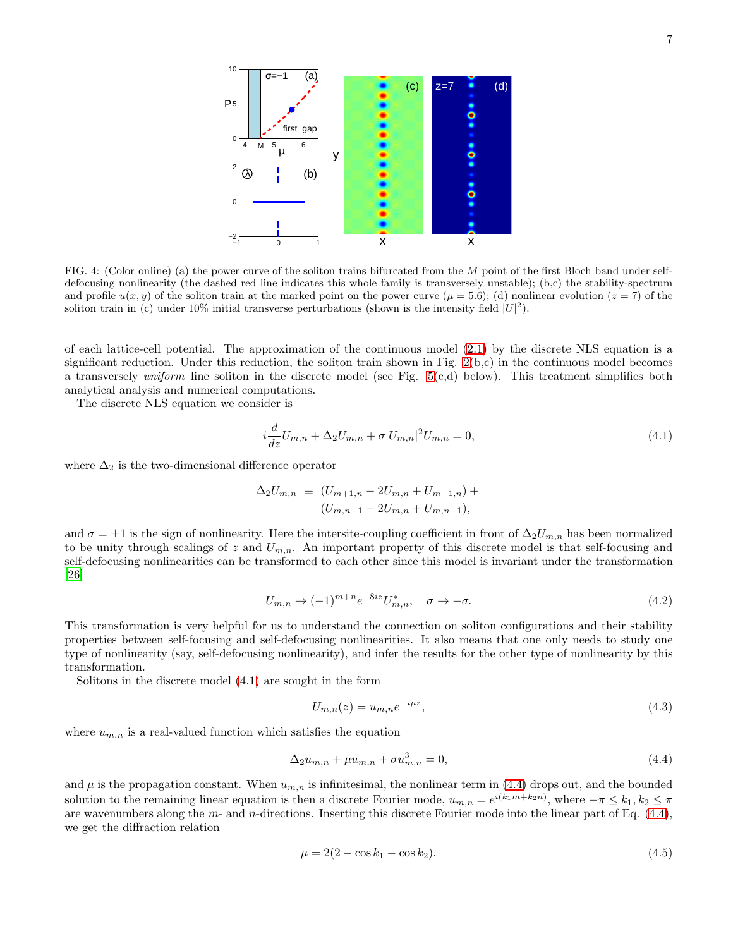

<span id="page-6-0"></span>FIG. 4: (Color online) (a) the power curve of the soliton trains bifurcated from the M point of the first Bloch band under selfdefocusing nonlinearity (the dashed red line indicates this whole family is transversely unstable); (b,c) the stability-spectrum and profile  $u(x, y)$  of the soliton train at the marked point on the power curve  $(\mu = 5.6)$ ; (d) nonlinear evolution  $(z = 7)$  of the soliton train in (c) under 10% initial transverse perturbations (shown is the intensity field  $|U|^2$ ).

of each lattice-cell potential. The approximation of the continuous model [\(2.1\)](#page-0-1) by the discrete NLS equation is a significant reduction. Under this reduction, the soliton train shown in Fig. [2\(](#page-3-0)b,c) in the continuous model becomes a transversely *uniform* line soliton in the discrete model (see Fig.  $5(c,d)$  below). This treatment simplifies both analytical analysis and numerical computations.

The discrete NLS equation we consider is

<span id="page-6-1"></span>
$$
i\frac{d}{dz}U_{m,n} + \Delta_2 U_{m,n} + \sigma |U_{m,n}|^2 U_{m,n} = 0,
$$
\n(4.1)

where  $\Delta_2$  is the two-dimensional difference operator

$$
\Delta_2 U_{m,n} \equiv (U_{m+1,n} - 2U_{m,n} + U_{m-1,n}) + (U_{m,n+1} - 2U_{m,n} + U_{m,n-1}),
$$

and  $\sigma = \pm 1$  is the sign of nonlinearity. Here the intersite-coupling coefficient in front of  $\Delta_2 U_{m,n}$  has been normalized to be unity through scalings of z and  $U_{m,n}$ . An important property of this discrete model is that self-focusing and self-defocusing nonlinearities can be transformed to each other since this model is invariant under the transformation [\[26\]](#page-9-25)

$$
U_{m,n} \to (-1)^{m+n} e^{-8iz} U_{m,n}^*, \quad \sigma \to -\sigma.
$$
\n
$$
(4.2)
$$

This transformation is very helpful for us to understand the connection on soliton configurations and their stability properties between self-focusing and self-defocusing nonlinearities. It also means that one only needs to study one type of nonlinearity (say, self-defocusing nonlinearity), and infer the results for the other type of nonlinearity by this transformation.

Solitons in the discrete model [\(4.1\)](#page-6-1) are sought in the form

$$
U_{m,n}(z) = u_{m,n}e^{-i\mu z},
$$
\n(4.3)

where  $u_{m,n}$  is a real-valued function which satisfies the equation

<span id="page-6-2"></span>
$$
\Delta_2 u_{m,n} + \mu u_{m,n} + \sigma u_{m,n}^3 = 0,\tag{4.4}
$$

and  $\mu$  is the propagation constant. When  $u_{m,n}$  is infinitesimal, the nonlinear term in [\(4.4\)](#page-6-2) drops out, and the bounded solution to the remaining linear equation is then a discrete Fourier mode,  $u_{m,n} = e^{i(k_1m+k_2n)}$ , where  $-\pi \leq k_1, k_2 \leq \pi$ are wavenumbers along the m- and n-directions. Inserting this discrete Fourier mode into the linear part of Eq.  $(4.4)$ , we get the diffraction relation

<span id="page-6-3"></span>
$$
\mu = 2(2 - \cos k_1 - \cos k_2). \tag{4.5}
$$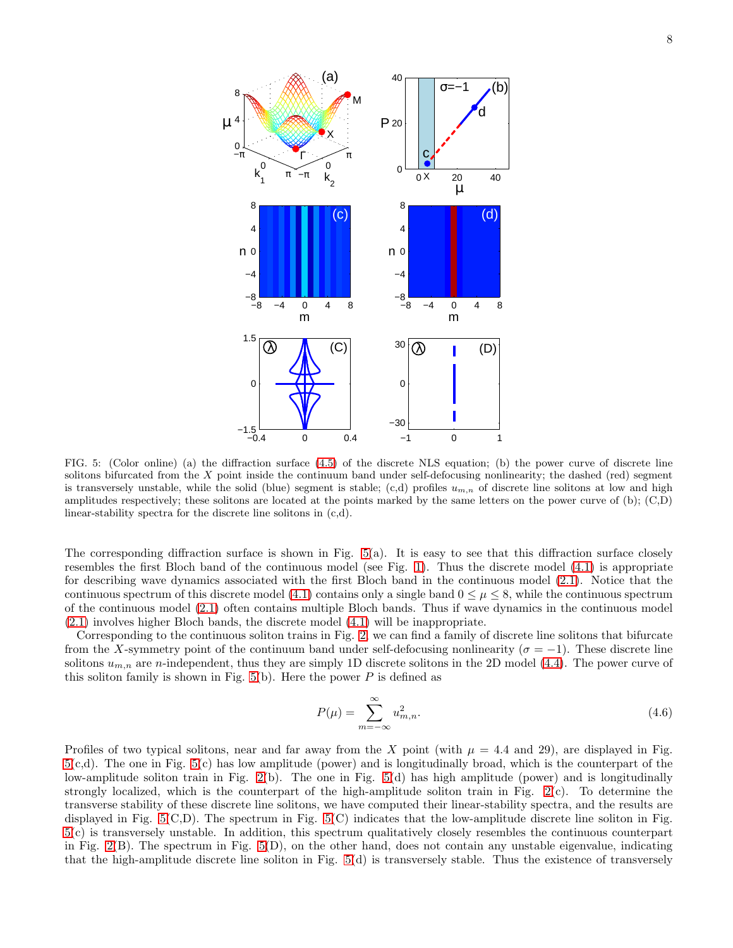

<span id="page-7-0"></span>FIG. 5: (Color online) (a) the diffraction surface [\(4.5\)](#page-6-3) of the discrete NLS equation; (b) the power curve of discrete line solitons bifurcated from the  $X$  point inside the continuum band under self-defocusing nonlinearity; the dashed (red) segment is transversely unstable, while the solid (blue) segment is stable; (c,d) profiles  $u_{m,n}$  of discrete line solitons at low and high amplitudes respectively; these solitons are located at the points marked by the same letters on the power curve of (b); (C,D) linear-stability spectra for the discrete line solitons in (c,d).

The corresponding diffraction surface is shown in Fig. [5\(](#page-7-0)a). It is easy to see that this diffraction surface closely resembles the first Bloch band of the continuous model (see Fig. [1\)](#page-1-0). Thus the discrete model [\(4.1\)](#page-6-1) is appropriate for describing wave dynamics associated with the first Bloch band in the continuous model [\(2.1\)](#page-0-1). Notice that the continuous spectrum of this discrete model [\(4.1\)](#page-6-1) contains only a single band  $0 \leq \mu \leq 8$ , while the continuous spectrum of the continuous model [\(2.1\)](#page-0-1) often contains multiple Bloch bands. Thus if wave dynamics in the continuous model [\(2.1\)](#page-0-1) involves higher Bloch bands, the discrete model [\(4.1\)](#page-6-1) will be inappropriate.

Corresponding to the continuous soliton trains in Fig. [2,](#page-3-0) we can find a family of discrete line solitons that bifurcate from the X-symmetry point of the continuum band under self-defocusing nonlinearity ( $\sigma = -1$ ). These discrete line solitons  $u_{m,n}$  are n-independent, thus they are simply 1D discrete solitons in the 2D model [\(4.4\)](#page-6-2). The power curve of this soliton family is shown in Fig.  $5(b)$ . Here the power P is defined as

$$
P(\mu) = \sum_{m = -\infty}^{\infty} u_{m,n}^2.
$$
\n(4.6)

Profiles of two typical solitons, near and far away from the X point (with  $\mu = 4.4$  and 29), are displayed in Fig. [5\(](#page-7-0)c,d). The one in Fig. [5\(](#page-7-0)c) has low amplitude (power) and is longitudinally broad, which is the counterpart of the low-amplitude soliton train in Fig. [2\(](#page-3-0)b). The one in Fig. [5\(](#page-7-0)d) has high amplitude (power) and is longitudinally strongly localized, which is the counterpart of the high-amplitude soliton train in Fig.  $2(c)$ . To determine the transverse stability of these discrete line solitons, we have computed their linear-stability spectra, and the results are displayed in Fig. [5\(](#page-7-0)C,D). The spectrum in Fig. [5\(](#page-7-0)C) indicates that the low-amplitude discrete line soliton in Fig. [5\(](#page-7-0)c) is transversely unstable. In addition, this spectrum qualitatively closely resembles the continuous counterpart in Fig.  $2(B)$ . The spectrum in Fig.  $5(D)$ , on the other hand, does not contain any unstable eigenvalue, indicating that the high-amplitude discrete line soliton in Fig.  $5(d)$  is transversely stable. Thus the existence of transversely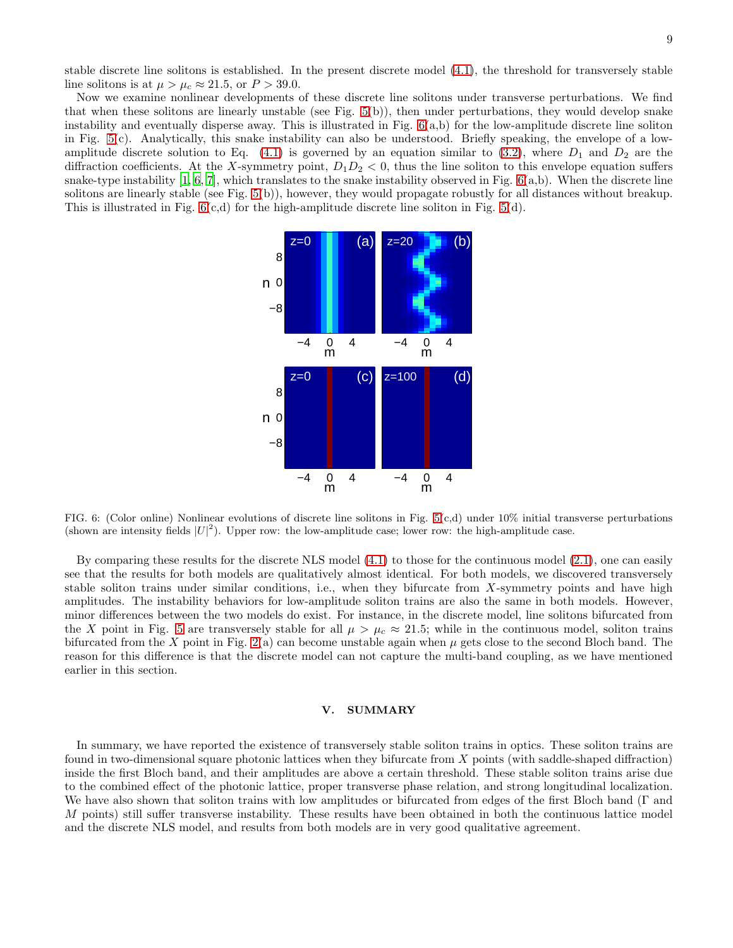stable discrete line solitons is established. In the present discrete model [\(4.1\)](#page-6-1), the threshold for transversely stable line solitons is at  $\mu > \mu_c \approx 21.5$ , or  $P > 39.0$ .

Now we examine nonlinear developments of these discrete line solitons under transverse perturbations. We find that when these solitons are linearly unstable (see Fig. [5\(](#page-7-0)b)), then under perturbations, they would develop snake instability and eventually disperse away. This is illustrated in Fig.  $6(a,b)$  for the low-amplitude discrete line soliton in Fig. [5\(](#page-7-0)c). Analytically, this snake instability can also be understood. Briefly speaking, the envelope of a low-amplitude discrete solution to Eq. [\(4.1\)](#page-6-1) is governed by an equation similar to [\(3.2\)](#page-3-1), where  $D_1$  and  $D_2$  are the diffraction coefficients. At the X-symmetry point,  $D_1D_2 < 0$ , thus the line soliton to this envelope equation suffers snake-type instability  $[1, 6, 7]$  $[1, 6, 7]$  $[1, 6, 7]$ , which translates to the snake instability observed in Fig.  $6(a,b)$ . When the discrete line solitons are linearly stable (see Fig. [5\(](#page-7-0)b)), however, they would propagate robustly for all distances without breakup. This is illustrated in Fig.  $6(c,d)$  for the high-amplitude discrete line soliton in Fig.  $5(d)$ .



<span id="page-8-0"></span>FIG. 6: (Color online) Nonlinear evolutions of discrete line solitons in Fig. [5\(](#page-7-0)c,d) under 10% initial transverse perturbations (shown are intensity fields  $|U|^2$ ). Upper row: the low-amplitude case; lower row: the high-amplitude case.

By comparing these results for the discrete NLS model [\(4.1\)](#page-6-1) to those for the continuous model [\(2.1\)](#page-0-1), one can easily see that the results for both models are qualitatively almost identical. For both models, we discovered transversely stable soliton trains under similar conditions, i.e., when they bifurcate from X-symmetry points and have high amplitudes. The instability behaviors for low-amplitude soliton trains are also the same in both models. However, minor differences between the two models do exist. For instance, in the discrete model, line solitons bifurcated from the X point in Fig. [5](#page-7-0) are transversely stable for all  $\mu > \mu_c \approx 21.5$ ; while in the continuous model, soliton trains bifurcated from the X point in Fig.  $2(a)$  can become unstable again when  $\mu$  gets close to the second Bloch band. The reason for this difference is that the discrete model can not capture the multi-band coupling, as we have mentioned earlier in this section.

## V. SUMMARY

In summary, we have reported the existence of transversely stable soliton trains in optics. These soliton trains are found in two-dimensional square photonic lattices when they bifurcate from X points (with saddle-shaped diffraction) inside the first Bloch band, and their amplitudes are above a certain threshold. These stable soliton trains arise due to the combined effect of the photonic lattice, proper transverse phase relation, and strong longitudinal localization. We have also shown that soliton trains with low amplitudes or bifurcated from edges of the first Bloch band (Γ and M points) still suffer transverse instability. These results have been obtained in both the continuous lattice model and the discrete NLS model, and results from both models are in very good qualitative agreement.